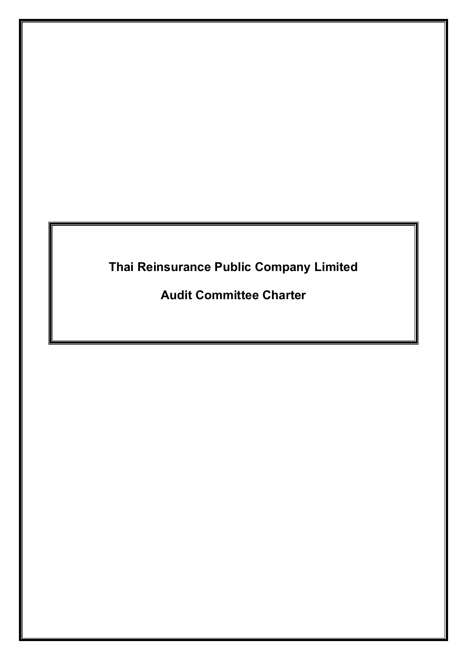# **Thai Reinsurance Public Company Limited**

**Audit Committee Charter**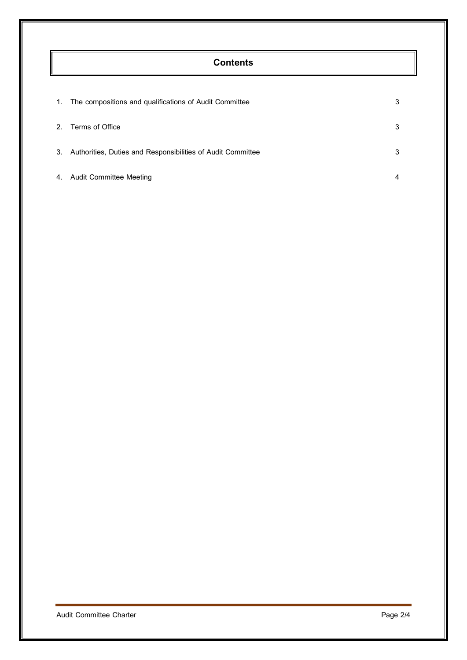## **Contents**

| $\mathbf{1}$ . | The compositions and qualifications of Audit Committee      | 3 |
|----------------|-------------------------------------------------------------|---|
| 2.             | Terms of Office                                             | 3 |
| 3.             | Authorities, Duties and Responsibilities of Audit Committee | 3 |
| 4.             | <b>Audit Committee Meeting</b>                              |   |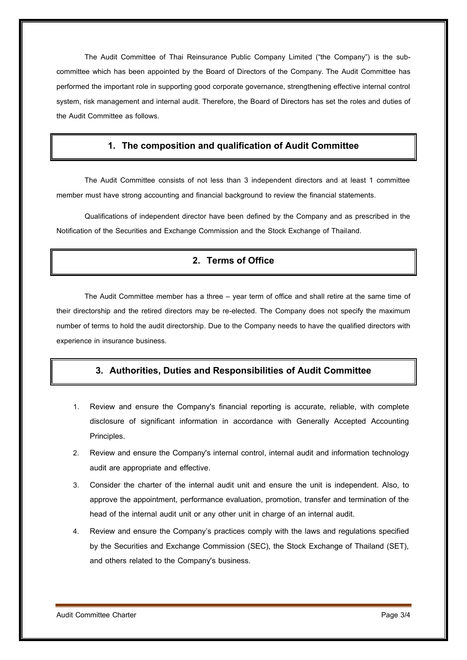The Audit Committee of Thai Reinsurance Public Company Limited ("the Company") is the subcommittee which has been appointed by the Board of Directors of the Company. The Audit Committee has performed the important role in supporting good corporate governance, strengthening effective internal control system, risk management and internal audit. Therefore, the Board of Directors has set the roles and duties of the Audit Committee as follows.

#### **1. The composition and qualificationof Audit Committee**

The Audit Committee consists of not less than 3 independent directors and at least 1 committee member must have strong accounting and financial background to review the financial statements.

Qualifications of independent director have been defined by the Company and as prescribed in the Notification of the Securities and Exchange Commission and the Stock Exchange of Thailand.

### **2. Terms of Office**

The Audit Committee member has a three – year term of office and shall retire at the same time of their directorship and the retired directors may be re-elected. The Company does not specify the maximum number of terms to hold the audit directorship. Due to the Company needs to have the qualified directors with experience in insurance business.

#### **3. Authorities, Duties and Responsibilitiesof Audit Committee**

- 1. Review and ensure the Company's financial reporting is accurate, reliable, with complete disclosure of significant information in accordance with Generally Accepted Accounting Principles.
- 2. Review and ensure the Company's internal control, internal audit and information technology audit are appropriate and effective.
- 3. Consider the charter of the internal audit unit and ensure the unit is independent. Also, to approve the appointment, performance evaluation, promotion, transfer and termination of the head of the internal audit unit or any other unit in charge of an internal audit.
- 4. Review and ensure the Company's practices comply with the laws and regulations specified by the Securities and Exchange Commission (SEC), the Stock Exchange of Thailand (SET), and others related to the Company's business.